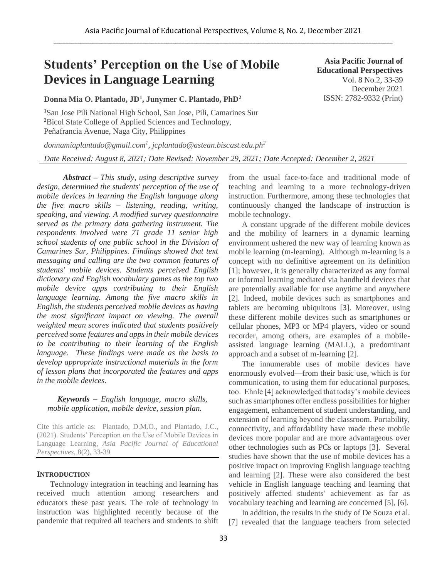# **Students' Perception on the Use of Mobile Devices in Language Learning**

**Donna Mia O. Plantado, JD<sup>1</sup> , Junymer C. Plantado, PhD<sup>2</sup>**

**<sup>1</sup>**San Jose Pili National High School, San Jose, Pili, Camarines Sur **<sup>2</sup>**Bicol State College of Applied Sciences and Technology, Peñafrancia Avenue, Naga City, Philippines

*donnamiaplantado@gmail.com<sup>1</sup> , jcplantado@astean.biscast.edu.ph<sup>2</sup> Date Received: August 8, 2021; Date Revised: November 29, 2021; Date Accepted: December 2, 2021*

*Abstract – This study, using descriptive survey design, determined the students' perception of the use of mobile devices in learning the English language along the five macro skills – listening, reading, writing, speaking, and viewing. A modified survey questionnaire served as the primary data gathering instrument. The respondents involved were 71 grade 11 senior high school students of one public school in the Division of Camarines Sur, Philippines. Findings showed that text messaging and calling are the two common features of students' mobile devices. Students perceived English dictionary and English vocabulary games as the top two mobile device apps contributing to their English language learning. Among the five macro skills in English, the students perceived mobile devices as having the most significant impact on viewing. The overall weighted mean scores indicated that students positively perceived some features and apps in their mobile devices to be contributing to their learning of the English language. These findings were made as the basis to develop appropriate instructional materials in the form of lesson plans that incorporated the features and apps in the mobile devices.* 

#### *Keywords – English language, macro skills, mobile application, mobile device, session plan.*

Cite this article as: Plantado, D.M.O., and Plantado, J.C., (2021). Students' Perception on the Use of Mobile Devices in Language Learning, *Asia Pacific Journal of Educational Perspectives,* 8(2), 33-39

#### **INTRODUCTION**

Technology integration in teaching and learning has received much attention among researchers and educators these past years. The role of technology in instruction was highlighted recently because of the pandemic that required all teachers and students to shift from the usual face-to-face and traditional mode of teaching and learning to a more technology-driven instruction. Furthermore, among these technologies that continuously changed the landscape of instruction is mobile technology.

A constant upgrade of the different mobile devices and the mobility of learners in a dynamic learning environment ushered the new way of learning known as mobile learning (m-learning). Although m-learning is a concept with no definitive agreement on its definition [1]; however, it is generally characterized as any formal or informal learning mediated via handheld devices that are potentially available for use anytime and anywhere [2]. Indeed, mobile devices such as smartphones and tablets are becoming ubiquitous [3]. Moreover, using these different mobile devices such as smartphones or cellular phones, MP3 or MP4 players, video or sound recorder, among others, are examples of a mobileassisted language learning (MALL), a predominant approach and a subset of m-learning [2].

The innumerable uses of mobile devices have enormously evolved—from their basic use, which is for communication, to using them for educational purposes, too. Ehnle [4] acknowledged that today's mobile devices such as smartphones offer endless possibilities for higher engagement, enhancement of student understanding, and extension of learning beyond the classroom. Portability, connectivity, and affordability have made these mobile devices more popular and are more advantageous over other technologies such as PCs or laptops [3]. Several studies have shown that the use of mobile devices has a positive impact on improving English language teaching and learning [2]. These were also considered the best vehicle in English language teaching and learning that positively affected students' achievement as far as vocabulary teaching and learning are concerned [5], [6].

In addition, the results in the study of De Souza et al. [7] revealed that the language teachers from selected

**Asia Pacific Journal of Educational Perspectives**  Vol. 8 No.2, 33-39 December 2021 ISSN: 2782-9332 (Print)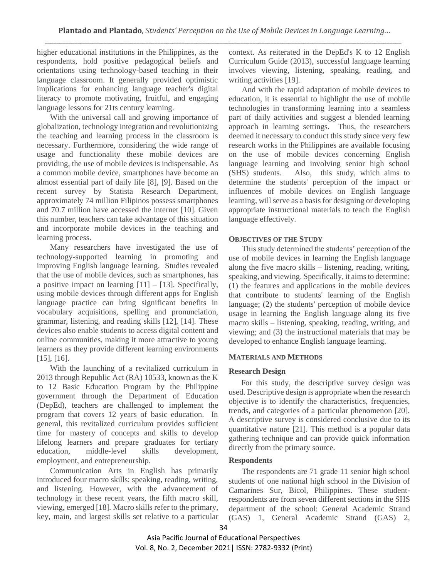higher educational institutions in the Philippines, as the respondents, hold positive pedagogical beliefs and orientations using technology-based teaching in their language classroom. It generally provided optimistic implications for enhancing language teacher's digital literacy to promote motivating, fruitful, and engaging language lessons for 21ts century learning.

With the universal call and growing importance of globalization, technology integration and revolutionizing the teaching and learning process in the classroom is necessary. Furthermore, considering the wide range of usage and functionality these mobile devices are providing, the use of mobile devices is indispensable. As a common mobile device, smartphones have become an almost essential part of daily life [8], [9]. Based on the recent survey by Statista Research Department, approximately 74 million Filipinos possess smartphones and 70.7 million have accessed the internet [10]. Given this number, teachers can take advantage of this situation and incorporate mobile devices in the teaching and learning process.

Many researchers have investigated the use of technology-supported learning in promoting and improving English language learning. Studies revealed that the use of mobile devices, such as smartphones, has a positive impact on learning  $[11] - [13]$ . Specifically, using mobile devices through different apps for English language practice can bring significant benefits in vocabulary acquisitions, spelling and pronunciation, grammar, listening, and reading skills [12], [14]. These devices also enable students to access digital content and online communities, making it more attractive to young learners as they provide different learning environments [15], [16].

With the launching of a revitalized curriculum in 2013 through Republic Act (RA) 10533, known as the K to 12 Basic Education Program by the Philippine government through the Department of Education (DepEd), teachers are challenged to implement the program that covers 12 years of basic education. In general, this revitalized curriculum provides sufficient time for mastery of concepts and skills to develop lifelong learners and prepare graduates for tertiary education, middle-level skills development, employment, and entrepreneurship.

Communication Arts in English has primarily introduced four macro skills: speaking, reading, writing, and listening. However, with the advancement of technology in these recent years, the fifth macro skill, viewing, emerged [18]. Macro skills refer to the primary, key, main, and largest skills set relative to a particular context. As reiterated in the DepEd's K to 12 English Curriculum Guide (2013), successful language learning involves viewing, listening, speaking, reading, and writing activities [19].

And with the rapid adaptation of mobile devices to education, it is essential to highlight the use of mobile technologies in transforming learning into a seamless part of daily activities and suggest a blended learning approach in learning settings. Thus, the researchers deemed it necessary to conduct this study since very few research works in the Philippines are available focusing on the use of mobile devices concerning English language learning and involving senior high school (SHS) students. Also, this study, which aims to determine the students' perception of the impact or influences of mobile devices on English language learning, will serve as a basis for designing or developing appropriate instructional materials to teach the English language effectively.

## **OBJECTIVES OF THE STUDY**

This study determined the students' perception of the use of mobile devices in learning the English language along the five macro skills – listening, reading, writing, speaking, and viewing. Specifically, it aims to determine: (1) the features and applications in the mobile devices that contribute to students' learning of the English language; (2) the students' perception of mobile device usage in learning the English language along its five macro skills – listening, speaking, reading, writing, and viewing; and (3) the instructional materials that may be developed to enhance English language learning.

# **MATERIALS AND METHODS**

# **Research Design**

For this study, the descriptive survey design was used. Descriptive design is appropriate when the research objective is to identify the characteristics, frequencies, trends, and categories of a particular phenomenon [20]. A descriptive survey is considered conclusive due to its quantitative nature [21]. This method is a popular data gathering technique and can provide quick information directly from the primary source.

#### **Respondents**

The respondents are 71 grade 11 senior high school students of one national high school in the Division of Camarines Sur, Bicol, Philippines. These studentrespondents are from seven different sections in the SHS department of the school: General Academic Strand (GAS) 1, General Academic Strand (GAS) 2,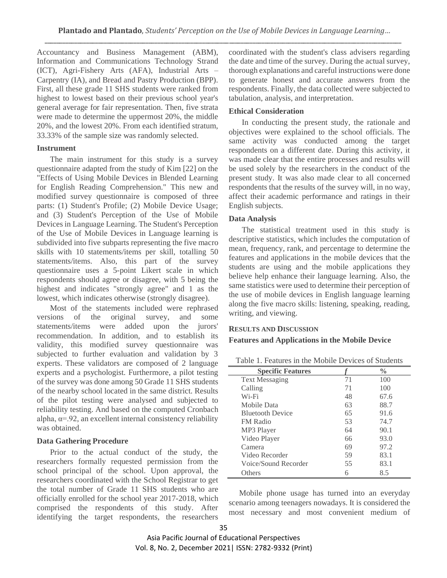Accountancy and Business Management (ABM), Information and Communications Technology Strand (ICT), Agri-Fishery Arts (AFA), Industrial Arts – Carpentry (IA), and Bread and Pastry Production (BPP). First, all these grade 11 SHS students were ranked from highest to lowest based on their previous school year's general average for fair representation. Then, five strata were made to determine the uppermost 20%, the middle 20%, and the lowest 20%. From each identified stratum, 33.33% of the sample size was randomly selected.

## **Instrument**

The main instrument for this study is a survey questionnaire adapted from the study of Kim [22] on the "Effects of Using Mobile Devices in Blended Learning for English Reading Comprehension." This new and modified survey questionnaire is composed of three parts: (1) Student's Profile; (2) Mobile Device Usage; and (3) Student's Perception of the Use of Mobile Devices in Language Learning. The Student's Perception of the Use of Mobile Devices in Language learning is subdivided into five subparts representing the five macro skills with 10 statements/items per skill, totalling 50 statements/items. Also, this part of the survey questionnaire uses a 5-point Likert scale in which respondents should agree or disagree, with 5 being the highest and indicates "strongly agree" and 1 as the lowest, which indicates otherwise (strongly disagree).

Most of the statements included were rephrased versions of the original survey, and some statements/items were added upon the jurors' recommendation. In addition, and to establish its validity, this modified survey questionnaire was subjected to further evaluation and validation by 3 experts. These validators are composed of 2 language experts and a psychologist. Furthermore, a pilot testing of the survey was done among 50 Grade 11 SHS students of the nearby school located in the same district. Results of the pilot testing were analysed and subjected to reliability testing. And based on the computed Cronbach alpha,  $\alpha = 92$ , an excellent internal consistency reliability was obtained.

# **Data Gathering Procedure**

Prior to the actual conduct of the study, the researchers formally requested permission from the school principal of the school. Upon approval, the researchers coordinated with the School Registrar to get the total number of Grade 11 SHS students who are officially enrolled for the school year 2017-2018, which comprised the respondents of this study. After identifying the target respondents, the researchers

coordinated with the student's class advisers regarding the date and time of the survey. During the actual survey, thorough explanations and careful instructions were done to generate honest and accurate answers from the respondents. Finally, the data collected were subjected to tabulation, analysis, and interpretation.

## **Ethical Consideration**

In conducting the present study, the rationale and objectives were explained to the school officials. The same activity was conducted among the target respondents on a different date. During this activity, it was made clear that the entire processes and results will be used solely by the researchers in the conduct of the present study. It was also made clear to all concerned respondents that the results of the survey will, in no way, affect their academic performance and ratings in their English subjects.

## **Data Analysis**

The statistical treatment used in this study is descriptive statistics, which includes the computation of mean, frequency, rank, and percentage to determine the features and applications in the mobile devices that the students are using and the mobile applications they believe help enhance their language learning. Also, the same statistics were used to determine their perception of the use of mobile devices in English language learning along the five macro skills: listening, speaking, reading, writing, and viewing.

#### **RESULTS AND DISCUSSION**

**Features and Applications in the Mobile Device**

|  |  |  |  |  | Table 1. Features in the Mobile Devices of Students |
|--|--|--|--|--|-----------------------------------------------------|
|--|--|--|--|--|-----------------------------------------------------|

| <b>Specific Features</b> |    | $\frac{0}{0}$ |
|--------------------------|----|---------------|
| <b>Text Messaging</b>    | 71 | 100           |
| Calling                  | 71 | 100           |
| Wi-Fi                    | 48 | 67.6          |
| Mobile Data              | 63 | 88.7          |
| <b>Bluetooth Device</b>  | 65 | 91.6          |
| <b>FM Radio</b>          | 53 | 74.7          |
| MP3 Player               | 64 | 90.1          |
| Video Player             | 66 | 93.0          |
| Camera                   | 69 | 97.2          |
| Video Recorder           | 59 | 83.1          |
| Voice/Sound Recorder     | 55 | 83.1          |
| Others                   |    | 8.5           |

Mobile phone usage has turned into an everyday scenario among teenagers nowadays. It is considered the most necessary and most convenient medium of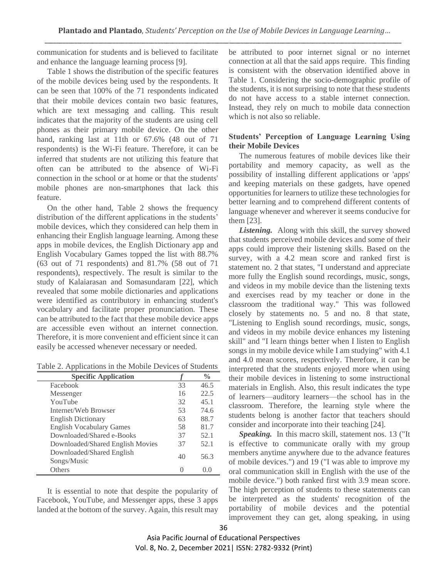communication for students and is believed to facilitate and enhance the language learning process [9].

Table 1 shows the distribution of the specific features of the mobile devices being used by the respondents. It can be seen that 100% of the 71 respondents indicated that their mobile devices contain two basic features, which are text messaging and calling. This result indicates that the majority of the students are using cell phones as their primary mobile device. On the other hand, ranking last at 11th or 67.6% (48 out of 71 respondents) is the Wi-Fi feature. Therefore, it can be inferred that students are not utilizing this feature that often can be attributed to the absence of Wi-Fi connection in the school or at home or that the students' mobile phones are non-smartphones that lack this feature.

On the other hand, Table 2 shows the frequency distribution of the different applications in the students' mobile devices, which they considered can help them in enhancing their English language learning. Among these apps in mobile devices, the English Dictionary app and English Vocabulary Games topped the list with 88.7% (63 out of 71 respondents) and 81.7% (58 out of 71 respondents), respectively. The result is similar to the study of Kalaiarasan and Somasundaram [22], which revealed that some mobile dictionaries and applications were identified as contributory in enhancing student's vocabulary and facilitate proper pronunciation. These can be attributed to the fact that these mobile device apps are accessible even without an internet connection. Therefore, it is more convenient and efficient since it can easily be accessed whenever necessary or needed.

Table 2. Applications in the Mobile Devices of Students

| <b>Specific Application</b>              |    | $\frac{0}{0}$ |
|------------------------------------------|----|---------------|
| Facebook                                 | 33 | 46.5          |
| Messenger                                | 16 | 22.5          |
| YouTube                                  | 32 | 45.1          |
| Internet/Web Browser                     | 53 | 74.6          |
| <b>English Dictionary</b>                | 63 | 88.7          |
| <b>English Vocabulary Games</b>          | 58 | 81.7          |
| Downloaded/Shared e-Books                | 37 | 52.1          |
| Downloaded/Shared English Movies         | 37 | 52.1          |
| Downloaded/Shared English<br>Songs/Music | 40 | 56.3          |
| Others                                   |    | $( )_{.} ( )$ |

It is essential to note that despite the popularity of Facebook, YouTube, and Messenger apps, these 3 apps landed at the bottom of the survey. Again, this result may be attributed to poor internet signal or no internet connection at all that the said apps require. This finding is consistent with the observation identified above in Table 1. Considering the socio-demographic profile of the students, it is not surprising to note that these students do not have access to a stable internet connection. Instead, they rely on much to mobile data connection which is not also so reliable.

## **Students' Perception of Language Learning Using their Mobile Devices**

The numerous features of mobile devices like their portability and memory capacity, as well as the possibility of installing different applications or 'apps' and keeping materials on these gadgets, have opened opportunities for learners to utilize these technologies for better learning and to comprehend different contents of language whenever and wherever it seems conducive for them [23].

*Listening.* Along with this skill, the survey showed that students perceived mobile devices and some of their apps could improve their listening skills. Based on the survey, with a 4.2 mean score and ranked first is statement no. 2 that states, "I understand and appreciate more fully the English sound recordings, music, songs, and videos in my mobile device than the listening texts and exercises read by my teacher or done in the classroom the traditional way." This was followed closely by statements no. 5 and no. 8 that state, "Listening to English sound recordings, music, songs, and videos in my mobile device enhances my listening skill" and "I learn things better when I listen to English songs in my mobile device while I am studying" with 4.1 and 4.0 mean scores, respectively. Therefore, it can be interpreted that the students enjoyed more when using their mobile devices in listening to some instructional materials in English. Also, this result indicates the type of learners—auditory learners—the school has in the classroom. Therefore, the learning style where the students belong is another factor that teachers should consider and incorporate into their teaching [24].

*Speaking.* In this macro skill, statement nos. 13 ("It is effective to communicate orally with my group members anytime anywhere due to the advance features of mobile devices.") and 19 ("I was able to improve my oral communication skill in English with the use of the mobile device.") both ranked first with 3.9 mean score. The high perception of students to these statements can be interpreted as the students' recognition of the portability of mobile devices and the potential improvement they can get, along speaking, in using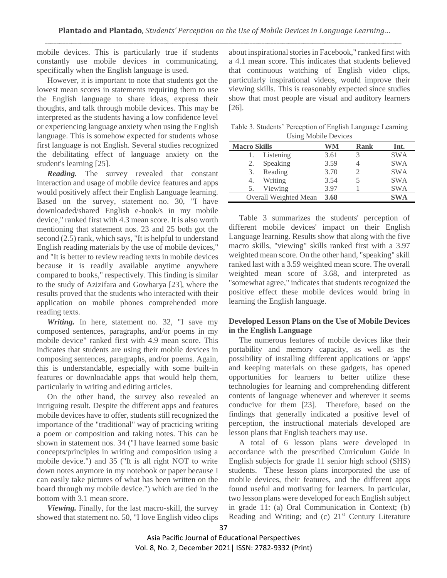mobile devices. This is particularly true if students constantly use mobile devices in communicating, specifically when the English language is used.

However, it is important to note that students got the lowest mean scores in statements requiring them to use the English language to share ideas, express their thoughts, and talk through mobile devices. This may be interpreted as the students having a low confidence level or experiencing language anxiety when using the English language. This is somehow expected for students whose first language is not English. Several studies recognized the debilitating effect of language anxiety on the student's learning [25].

*Reading.* The survey revealed that constant interaction and usage of mobile device features and apps would positively affect their English Language learning. Based on the survey, statement no. 30, "I have downloaded/shared English e-book/s in my mobile device," ranked first with 4.3 mean score. It is also worth mentioning that statement nos. 23 and 25 both got the second (2.5) rank, which says, "It is helpful to understand English reading materials by the use of mobile devices," and "It is better to review reading texts in mobile devices because it is readily available anytime anywhere compared to books," respectively. This finding is similar to the study of Azizifara and Gowharya [23], where the results proved that the students who interacted with their application on mobile phones comprehended more reading texts.

*Writing.* In here, statement no. 32, "I save my composed sentences, paragraphs, and/or poems in my mobile device" ranked first with 4.9 mean score. This indicates that students are using their mobile devices in composing sentences, paragraphs, and/or poems. Again, this is understandable, especially with some built-in features or downloadable apps that would help them, particularly in writing and editing articles.

On the other hand, the survey also revealed an intriguing result. Despite the different apps and features mobile devices have to offer, students still recognized the importance of the "traditional" way of practicing writing a poem or composition and taking notes. This can be shown in statement nos. 34 ("I have learned some basic concepts/principles in writing and composition using a mobile device.") and 35 ("It is all right NOT to write down notes anymore in my notebook or paper because I can easily take pictures of what has been written on the board through my mobile device.") which are tied in the bottom with 3.1 mean score.

*Viewing.* Finally, for the last macro-skill, the survey showed that statement no. 50, "I love English video clips about inspirational stories in Facebook," ranked first with a 4.1 mean score. This indicates that students believed that continuous watching of English video clips, particularly inspirational videos, would improve their viewing skills. This is reasonably expected since studies show that most people are visual and auditory learners [26].

Table 3. Students' Perception of English Language Learning Using Mobile Devices

| <b>Macro Skills</b>   | WM   | <b>Rank</b> | Int.       |  |  |  |  |
|-----------------------|------|-------------|------------|--|--|--|--|
| Listening<br>1.       | 3.61 |             | <b>SWA</b> |  |  |  |  |
| Speaking<br>2.        | 3.59 |             | <b>SWA</b> |  |  |  |  |
| Reading<br>3.         | 3.70 |             | <b>SWA</b> |  |  |  |  |
| Writing<br>4.         | 3.54 |             | <b>SWA</b> |  |  |  |  |
| Viewing<br>5.         | 3.97 |             | <b>SWA</b> |  |  |  |  |
| Overall Weighted Mean | 3.68 |             | <b>SWA</b> |  |  |  |  |

Table 3 summarizes the students' perception of different mobile devices' impact on their English Language learning. Results show that along with the five macro skills, "viewing" skills ranked first with a 3.97 weighted mean score. On the other hand, "speaking" skill ranked last with a 3.59 weighted mean score. The overall weighted mean score of 3.68, and interpreted as "somewhat agree," indicates that students recognized the positive effect these mobile devices would bring in learning the English language.

# **Developed Lesson Plans on the Use of Mobile Devices in the English Language**

The numerous features of mobile devices like their portability and memory capacity, as well as the possibility of installing different applications or 'apps' and keeping materials on these gadgets, has opened opportunities for learners to better utilize these technologies for learning and comprehending different contents of language whenever and wherever it seems conducive for them [23]. Therefore, based on the findings that generally indicated a positive level of perception, the instructional materials developed are lesson plans that English teachers may use.

A total of 6 lesson plans were developed in accordance with the prescribed Curriculum Guide in English subjects for grade 11 senior high school (SHS) students. These lesson plans incorporated the use of mobile devices, their features, and the different apps found useful and motivating for learners. In particular, two lesson plans were developed for each English subject in grade 11: (a) Oral Communication in Context; (b) Reading and Writing; and (c)  $21<sup>st</sup>$  Century Literature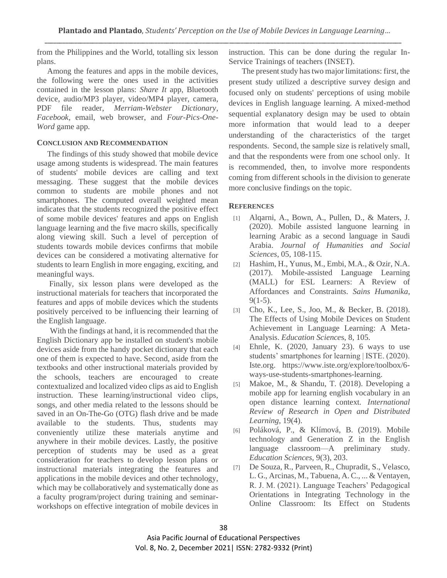from the Philippines and the World, totalling six lesson plans.

Among the features and apps in the mobile devices, the following were the ones used in the activities contained in the lesson plans: *Share It* app, Bluetooth device, audio/MP3 player, video/MP4 player, camera, PDF file reader, *Merriam-Webster Dictionary*, *Facebook*, email, web browser, and *Four-Pics-One-Word* game app.

# **CONCLUSION AND RECOMMENDATION**

The findings of this study showed that mobile device usage among students is widespread. The main features of students' mobile devices are calling and text messaging. These suggest that the mobile devices common to students are mobile phones and not smartphones. The computed overall weighted mean indicates that the students recognized the positive effect of some mobile devices' features and apps on English language learning and the five macro skills, specifically along viewing skill. Such a level of perception of students towards mobile devices confirms that mobile devices can be considered a motivating alternative for students to learn English in more engaging, exciting, and meaningful ways.

Finally, six lesson plans were developed as the instructional materials for teachers that incorporated the features and apps of mobile devices which the students positively perceived to be influencing their learning of the English language.

With the findings at hand, it is recommended that the English Dictionary app be installed on student's mobile devices aside from the handy pocket dictionary that each one of them is expected to have. Second, aside from the textbooks and other instructional materials provided by the schools, teachers are encouraged to create contextualized and localized video clips as aid to English instruction. These learning/instructional video clips, songs, and other media related to the lessons should be saved in an On-The-Go (OTG) flash drive and be made available to the students. Thus, students may conveniently utilize these materials anytime and anywhere in their mobile devices. Lastly, the positive perception of students may be used as a great consideration for teachers to develop lesson plans or instructional materials integrating the features and applications in the mobile devices and other technology, which may be collaboratively and systematically done as a faculty program/project during training and seminarworkshops on effective integration of mobile devices in instruction. This can be done during the regular In-Service Trainings of teachers (INSET).

The present study has two major limitations: first, the present study utilized a descriptive survey design and focused only on students' perceptions of using mobile devices in English language learning. A mixed-method sequential explanatory design may be used to obtain more information that would lead to a deeper understanding of the characteristics of the target respondents. Second, the sample size is relatively small, and that the respondents were from one school only. It is recommended, then, to involve more respondents coming from different schools in the division to generate more conclusive findings on the topic.

# **REFERENCES**

- [1] Alqarni, A., Bown, A., Pullen, D., & Maters, J. (2020). Mobile assisted languone learning in learning Arabic as a second language in Saudi Arabia. *Journal of Humanities and Social Sciences,* 05, 108-115.
- [2] Hashim, H., Yunus, M., Embi, M.A., & Ozir, N.A. (2017). Mobile-assisted Language Learning (MALL) for ESL Learners: A Review of Affordances and Constraints. *Sains Humanika*,  $9(1-5)$ .
- [3] Cho, K., Lee, S., Joo, M., & Becker, B. (2018). The Effects of Using Mobile Devices on Student Achievement in Language Learning: A Meta-Analysis. *Education Science*s, 8, 105.
- [4] Ehnle, K. (2020, January 23). 6 ways to use students' smartphones for learning | ISTE. (2020). Iste.org. https://www.iste.org/explore/toolbox/6 ways-use-students-smartphones-learning.
- [5] Makoe, M., & Shandu, T. (2018). Developing a mobile app for learning english vocabulary in an open distance learning context*. International Review of Research in Open and Distributed Learning*, 19(4).
- [6] Poláková, P., & Klímová, B. (2019). Mobile technology and Generation Z in the English language classroom—A preliminary study. *Education Sciences*, 9(3), 203.
- [7] De Souza, R., Parveen, R., Chupradit, S., Velasco, L. G., Arcinas, M., Tabuena, A. C., ... & Ventayen, R. J. M. (2021). Language Teachers' Pedagogical Orientations in Integrating Technology in the Online Classroom: Its Effect on Students